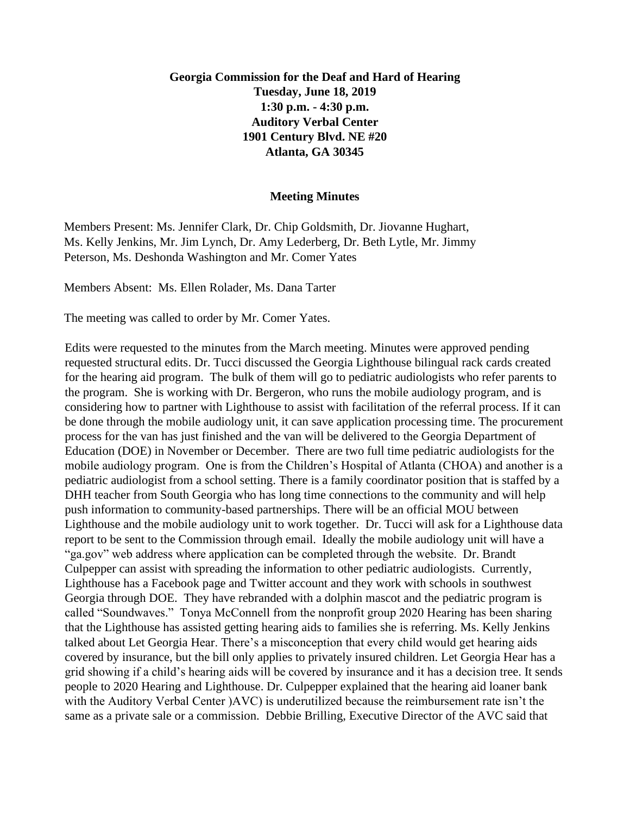## **Georgia Commission for the Deaf and Hard of Hearing Tuesday, June 18, 2019 1:30 p.m. - 4:30 p.m. Auditory Verbal Center 1901 Century Blvd. NE #20 Atlanta, GA 30345**

## **Meeting Minutes**

Members Present: Ms. Jennifer Clark, Dr. Chip Goldsmith, Dr. Jiovanne Hughart, Ms. Kelly Jenkins, Mr. Jim Lynch, Dr. Amy Lederberg, Dr. Beth Lytle, Mr. Jimmy Peterson, Ms. Deshonda Washington and Mr. Comer Yates

Members Absent: Ms. Ellen Rolader, Ms. Dana Tarter

The meeting was called to order by Mr. Comer Yates.

Edits were requested to the minutes from the March meeting. Minutes were approved pending requested structural edits. Dr. Tucci discussed the Georgia Lighthouse bilingual rack cards created for the hearing aid program. The bulk of them will go to pediatric audiologists who refer parents to the program. She is working with Dr. Bergeron, who runs the mobile audiology program, and is considering how to partner with Lighthouse to assist with facilitation of the referral process. If it can be done through the mobile audiology unit, it can save application processing time. The procurement process for the van has just finished and the van will be delivered to the Georgia Department of Education (DOE) in November or December. There are two full time pediatric audiologists for the mobile audiology program. One is from the Children's Hospital of Atlanta (CHOA) and another is a pediatric audiologist from a school setting. There is a family coordinator position that is staffed by a DHH teacher from South Georgia who has long time connections to the community and will help push information to community-based partnerships. There will be an official MOU between Lighthouse and the mobile audiology unit to work together. Dr. Tucci will ask for a Lighthouse data report to be sent to the Commission through email. Ideally the mobile audiology unit will have a "ga.gov" web address where application can be completed through the website. Dr. Brandt Culpepper can assist with spreading the information to other pediatric audiologists. Currently, Lighthouse has a Facebook page and Twitter account and they work with schools in southwest Georgia through DOE. They have rebranded with a dolphin mascot and the pediatric program is called "Soundwaves." Tonya McConnell from the nonprofit group 2020 Hearing has been sharing that the Lighthouse has assisted getting hearing aids to families she is referring. Ms. Kelly Jenkins talked about Let Georgia Hear. There's a misconception that every child would get hearing aids covered by insurance, but the bill only applies to privately insured children. Let Georgia Hear has a grid showing if a child's hearing aids will be covered by insurance and it has a decision tree. It sends people to 2020 Hearing and Lighthouse. Dr. Culpepper explained that the hearing aid loaner bank with the Auditory Verbal Center )AVC) is underutilized because the reimbursement rate isn't the same as a private sale or a commission. Debbie Brilling, Executive Director of the AVC said that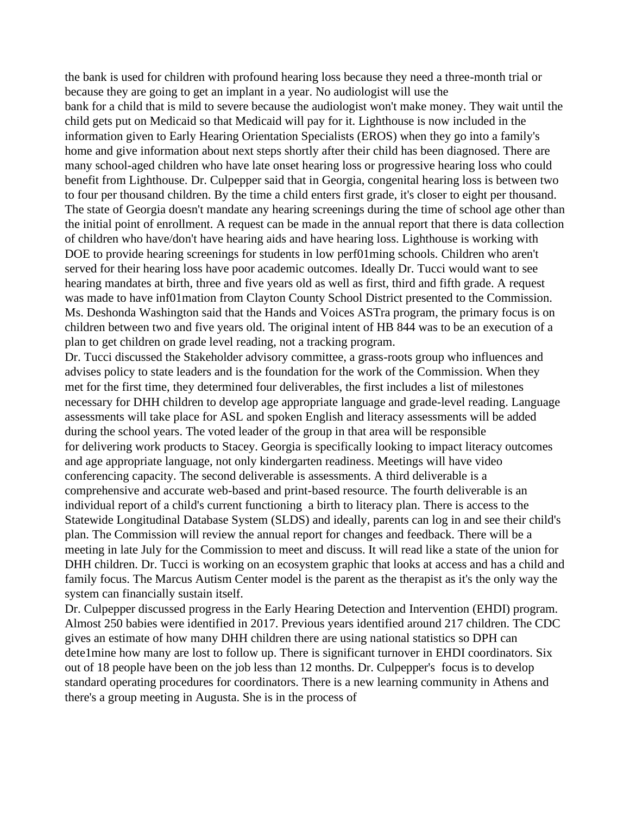the bank is used for children with profound hearing loss because they need a three-month trial or because they are going to get an implant in a year. No audiologist will use the bank for a child that is mild to severe because the audiologist won't make money. They wait until the child gets put on Medicaid so that Medicaid will pay for it. Lighthouse is now included in the information given to Early Hearing Orientation Specialists (EROS) when they go into a family's home and give information about next steps shortly after their child has been diagnosed. There are many school-aged children who have late onset hearing loss or progressive hearing loss who could benefit from Lighthouse. Dr. Culpepper said that in Georgia, congenital hearing loss is between two to four per thousand children. By the time a child enters first grade, it's closer to eight per thousand. The state of Georgia doesn't mandate any hearing screenings during the time of school age other than the initial point of enrollment. A request can be made in the annual report that there is data collection of children who have/don't have hearing aids and have hearing loss. Lighthouse is working with DOE to provide hearing screenings for students in low perf01ming schools. Children who aren't served for their hearing loss have poor academic outcomes. Ideally Dr. Tucci would want to see hearing mandates at birth, three and five years old as well as first, third and fifth grade. A request was made to have inf01mation from Clayton County School District presented to the Commission. Ms. Deshonda Washington said that the Hands and Voices ASTra program, the primary focus is on children between two and five years old. The original intent of HB 844 was to be an execution of a plan to get children on grade level reading, not a tracking program.

Dr. Tucci discussed the Stakeholder advisory committee, a grass-roots group who influences and advises policy to state leaders and is the foundation for the work of the Commission. When they met for the first time, they determined four deliverables, the first includes a list of milestones necessary for DHH children to develop age appropriate language and grade-level reading. Language assessments will take place for ASL and spoken English and literacy assessments will be added during the school years. The voted leader of the group in that area will be responsible for delivering work products to Stacey. Georgia is specifically looking to impact literacy outcomes and age appropriate language, not only kindergarten readiness. Meetings will have video conferencing capacity. The second deliverable is assessments. A third deliverable is a comprehensive and accurate web-based and print-based resource. The fourth deliverable is an individual report of a child's current functioning a birth to literacy plan. There is access to the Statewide Longitudinal Database System (SLDS) and ideally, parents can log in and see their child's plan. The Commission will review the annual report for changes and feedback. There will be a meeting in late July for the Commission to meet and discuss. It will read like a state of the union for DHH children. Dr. Tucci is working on an ecosystem graphic that looks at access and has a child and family focus. The Marcus Autism Center model is the parent as the therapist as it's the only way the system can financially sustain itself.

Dr. Culpepper discussed progress in the Early Hearing Detection and Intervention (EHDI) program. Almost 250 babies were identified in 2017. Previous years identified around 217 children. The CDC gives an estimate of how many DHH children there are using national statistics so DPH can dete1mine how many are lost to follow up. There is significant turnover in EHDI coordinators. Six out of 18 people have been on the job less than 12 months. Dr. Culpepper's focus is to develop standard operating procedures for coordinators. There is a new learning community in Athens and there's a group meeting in Augusta. She is in the process of